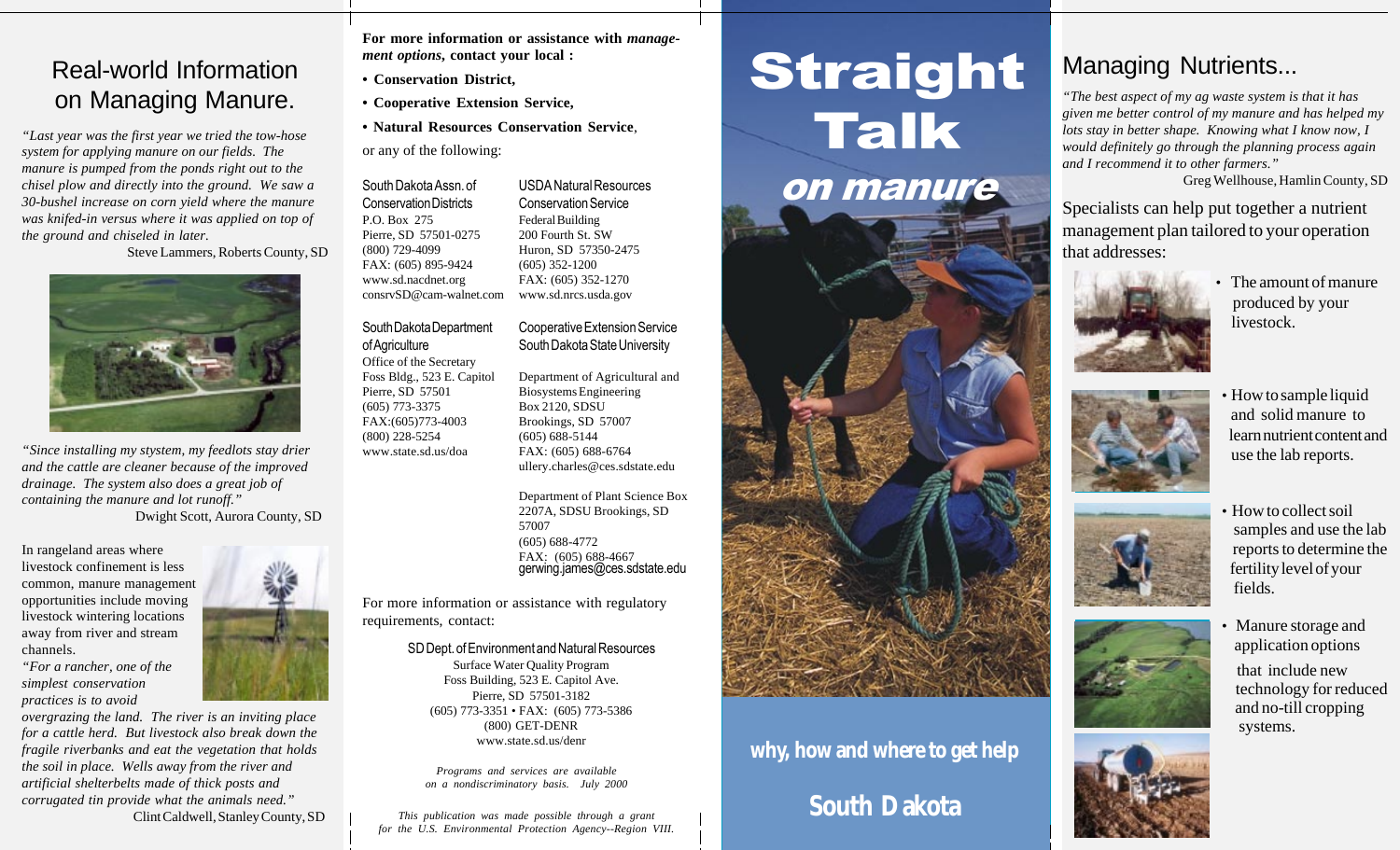#### Real-world Information on Managing Manure.

*"Last year was the first year we tried the tow-hose system for applying manure on our fields. The manure is pumped from the ponds right out to the chisel plow and directly into the ground. We saw a 30-bushel increase on corn yield where the manure was knifed-in versus where it was applied on top of the ground and chiseled in later.*

Steve Lammers, Roberts County, SD



*"Since installing my stystem, my feedlots stay drier and the cattle are cleaner because of the improved drainage. The system also does a great job of containing the manure and lot runoff."* Dwight Scott, Aurora County, SD

West River- $\sim$  1 (grassland

In rangeland areas where livestock confinement is less common, manure management opportunities include moving livestock wintering locations away from river and stream channels.



*overgrazing the land. The river is an inviting place for a cattle herd. But livestock also break down the fragile riverbanks and eat the vegetation that holds the soil in place. Wells away from the river and artificial shelterbelts made of thick posts and corrugated tin provide what the animals need."* Clint Caldwell, Stanley County, SD **For more information or assistance with** *management options***, contact your local :**

- **Conservation District,**
- **Cooperative Extension Service,**
- **Natural Resources Conservation Service**,

or any of the following:

South Dakota Assn. of Conservation Districts P.O. Box 275 Pierre, SD 57501-0275 (800) 729-4099 FAX: (605) 895-9424 www.sd.nacdnet.org

South Dakota Department

of Agriculture

#### consrvSD@cam-walnet.com Federal Building 200 Fourth St. SW Huron, SD 57350-2475 (605) 352-1200 FAX: (605) 352-1270 www.sd.nrcs.usda.gov

USDA Natural Resources Conservation Service

Cooperative Extension Service South Dakota State University

Office of the Secretary Foss Bldg., 523 E. Capitol Pierre, SD 57501 (605) 773-3375 FAX:(605)773-4003 (800) 228-5254 www.state.sd.us/doa Department of Agricultural and Biosystems Engineering Box 2120, SDSU Brookings, SD 57007 (605) 688-5144 FAX: (605) 688-6764 ullery.charles@ces.sdstate.edu

> Department of Plant Science Box 2207A, SDSU Brookings, SD 57007 (605) 688-4772 FAX: (605) 688-4667 gerwing.james@ces.sdstate.edu

For more information or assistance with regulatory requirements, contact:

> SD Dept. of Environment and Natural Resources Surface Water Quality Program Foss Building, 523 E. Capitol Ave. Pierre, SD 57501-3182 (605) 773-3351 • FAX: (605) 773-5386 (800) GET-DENR www.state.sd.us/denr

*Programs and services are available on a nondiscriminatory basis. July 2000*

*This publication was made possible through a grant for the U.S. Environmental Protection Agency--Region VIII.*

# Straight Talk on manure

# **why, how and where to get help**

# **South Dakota**

#### Managing Nutrients...

*"The best aspect of my ag waste system is that it has given me better control of my manure and has helped my lots stay in better shape. Knowing what I know now, I would definitely go through the planning process again and I recommend it to other farmers."*

Greg Wellhouse, Hamlin County, SD

Specialists can help put together a nutrient management plan tailored to your operation that addresses:



• The amount of manure produced by your livestock.



• How to sample liquid and solid manure to learn nutrient content and use the lab reports.



• How to collect soil samples and use the lab reports to determine the fertility level of your fields.



• Manure storage and application options that include new technology for reduced and no-till cropping systems.